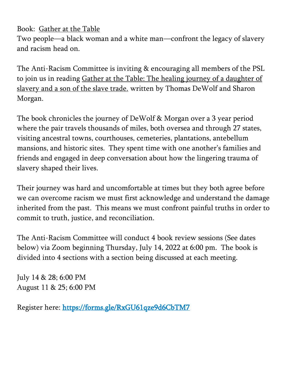Book: Gather at the Table

Two people—a black woman and a white man—confront the legacy of slavery and racism head on.

The Anti-Racism Committee is inviting & encouraging all members of the PSL to join us in reading Gather at the Table: The healing journey of a daughter of slavery and a son of the slave trade. written by Thomas DeWolf and Sharon Morgan.

The book chronicles the journey of DeWolf & Morgan over a 3 year period where the pair travels thousands of miles, both oversea and through 27 states, visiting ancestral towns, courthouses, cemeteries, plantations, antebellum mansions, and historic sites. They spent time with one another's families and friends and engaged in deep conversation about how the lingering trauma of slavery shaped their lives.

Their journey was hard and uncomfortable at times but they both agree before we can overcome racism we must first acknowledge and understand the damage inherited from the past. This means we must confront painful truths in order to commit to truth, justice, and reconciliation.

The Anti-Racism Committee will conduct 4 book review sessions (See dates below) via Zoom beginning Thursday, July 14, 2022 at 6:00 pm. The book is divided into 4 sections with a section being discussed at each meeting.

July 14 & 28; 6:00 PM August 11 & 25; 6:00 PM

Register here: https://forms.gle/RxGU61qze9d6CbTM7